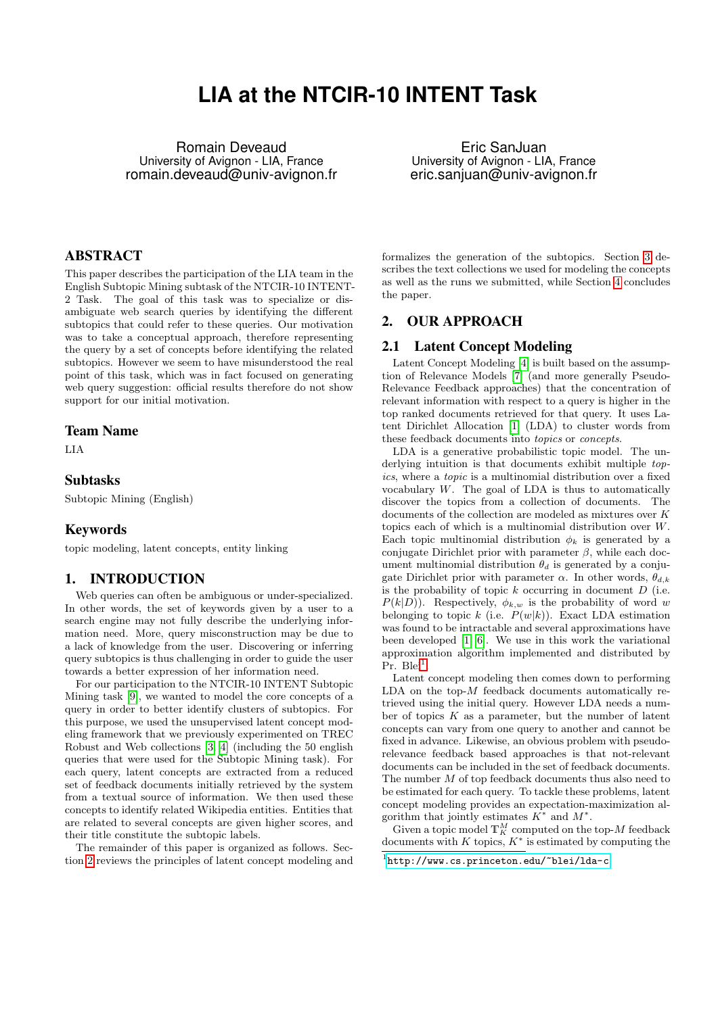# **LIA at the NTCIR-10 INTENT Task**

Romain Deveaud University of Avignon - LIA, France romain.deveaud@univ-avignon.fr

Eric SanJuan University of Avignon - LIA, France eric.sanjuan@univ-avignon.fr

# ABSTRACT

This paper describes the participation of the LIA team in the English Subtopic Mining subtask of the NTCIR-10 INTENT-2 Task. The goal of this task was to specialize or disambiguate web search queries by identifying the different subtopics that could refer to these queries. Our motivation was to take a conceptual approach, therefore representing the query by a set of concepts before identifying the related subtopics. However we seem to have misunderstood the real point of this task, which was in fact focused on generating web query suggestion: official results therefore do not show support for our initial motivation.

# Team Name

LIA

# Subtasks

Subtopic Mining (English)

## Keywords

topic modeling, latent concepts, entity linking

# 1. INTRODUCTION

Web queries can often be ambiguous or under-specialized. In other words, the set of keywords given by a user to a search engine may not fully describe the underlying information need. More, query misconstruction may be due to a lack of knowledge from the user. Discovering or inferring query subtopics is thus challenging in order to guide the user towards a better expression of her information need.

For our participation to the NTCIR-10 INTENT Subtopic Mining task [\[9\]](#page-2-0), we wanted to model the core concepts of a query in order to better identify clusters of subtopics. For this purpose, we used the unsupervised latent concept modeling framework that we previously experimented on TREC Robust and Web collections [\[3,](#page-2-1) [4\]](#page-2-2) (including the 50 english queries that were used for the Subtopic Mining task). For each query, latent concepts are extracted from a reduced set of feedback documents initially retrieved by the system from a textual source of information. We then used these concepts to identify related Wikipedia entities. Entities that are related to several concepts are given higher scores, and their title constitute the subtopic labels.

The remainder of this paper is organized as follows. Section [2](#page-0-0) reviews the principles of latent concept modeling and

formalizes the generation of the subtopics. Section [3](#page-1-0) describes the text collections we used for modeling the concepts as well as the runs we submitted, while Section [4](#page-2-3) concludes the paper.

# <span id="page-0-0"></span>2. OUR APPROACH

## 2.1 Latent Concept Modeling

Latent Concept Modeling [\[4\]](#page-2-2) is built based on the assumption of Relevance Models [\[7\]](#page-2-4) (and more generally Pseudo-Relevance Feedback approaches) that the concentration of relevant information with respect to a query is higher in the top ranked documents retrieved for that query. It uses Latent Dirichlet Allocation [\[1\]](#page-2-5) (LDA) to cluster words from these feedback documents into topics or concepts.

LDA is a generative probabilistic topic model. The underlying intuition is that documents exhibit multiple topics, where a topic is a multinomial distribution over a fixed vocabulary  $W$ . The goal of LDA is thus to automatically discover the topics from a collection of documents. The documents of the collection are modeled as mixtures over K topics each of which is a multinomial distribution over W. Each topic multinomial distribution  $\phi_k$  is generated by a conjugate Dirichlet prior with parameter  $\beta$ , while each document multinomial distribution  $\theta_d$  is generated by a conjugate Dirichlet prior with parameter  $\alpha$ . In other words,  $\theta_{d,k}$ is the probability of topic  $k$  occurring in document  $D$  (i.e.  $P(k|D)$ ). Respectively,  $\phi_{k,w}$  is the probability of word w belonging to topic k (i.e.  $P(w|k)$ ). Exact LDA estimation was found to be intractable and several approximations have been developed [\[1,](#page-2-5) [6\]](#page-2-6). We use in this work the variational approximation algorithm implemented and distributed by  $Pr.$  Blei<sup>[1](#page-0-1)</sup>.

Latent concept modeling then comes down to performing  $LDA$  on the top- $M$  feedback documents automatically retrieved using the initial query. However LDA needs a number of topics  $K$  as a parameter, but the number of latent concepts can vary from one query to another and cannot be fixed in advance. Likewise, an obvious problem with pseudorelevance feedback based approaches is that not-relevant documents can be included in the set of feedback documents. The number M of top feedback documents thus also need to be estimated for each query. To tackle these problems, latent concept modeling provides an expectation-maximization algorithm that jointly estimates  $K^*$  and  $M^*$ .

Given a topic model  $\mathbb{T}_K^M$  computed on the top- $M$  feedback documents with  $K$  topics,  $K^*$  is estimated by computing the

<span id="page-0-1"></span><sup>1</sup> <http://www.cs.princeton.edu/~blei/lda-c>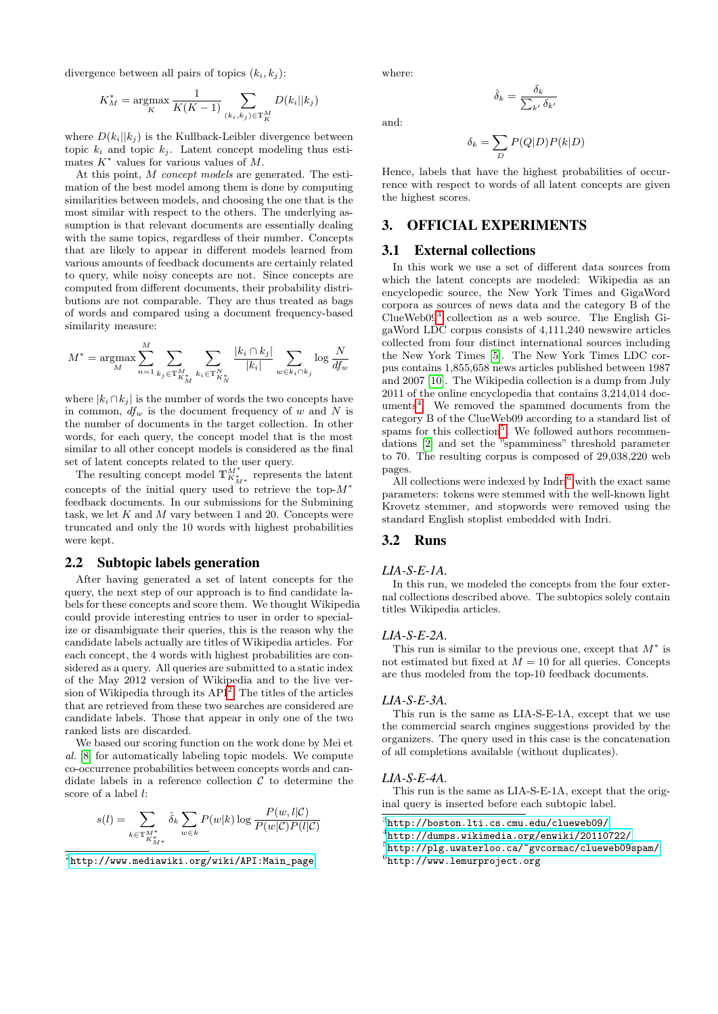divergence between all pairs of topics  $(k_i, k_j)$ :

$$
K_M^* = \underset{K}{\text{argmax}} \frac{1}{K(K-1)} \sum_{(k_i, k_j) \in \mathbb{T}_K^M} D(k_i || k_j)
$$

where  $D(k_i||k_i)$  is the Kullback-Leibler divergence between topic  $k_i$  and topic  $k_j$ . Latent concept modeling thus estimates  $K^*$  values for various values of M.

At this point, M concept models are generated. The estimation of the best model among them is done by computing similarities between models, and choosing the one that is the most similar with respect to the others. The underlying assumption is that relevant documents are essentially dealing with the same topics, regardless of their number. Concepts that are likely to appear in different models learned from various amounts of feedback documents are certainly related to query, while noisy concepts are not. Since concepts are computed from different documents, their probability distributions are not comparable. They are thus treated as bags of words and compared using a document frequency-based similarity measure:

$$
M^* = \underset{M}{\text{argmax}} \sum_{n=1}^{M} \sum_{k_j \in \mathbb{T}_{K_M^*}^M} \sum_{k_i \in \mathbb{T}_{K_N^*}^N} \frac{|k_i \cap k_j|}{|k_i|} \sum_{w \in k_i \cap k_j} \log \frac{N}{df_w}
$$

where  $|k_i \cap k_j|$  is the number of words the two concepts have in common,  $df_w$  is the document frequency of w and N is the number of documents in the target collection. In other words, for each query, the concept model that is the most similar to all other concept models is considered as the final set of latent concepts related to the user query.

The resulting concept model  $\mathbb{T}^{M^*}_{K^*_{M^*}}$  represents the latent concepts of the initial query used to retrieve the top- $M^*$ feedback documents. In our submissions for the Submining task, we let  $K$  and  $M$  vary between 1 and 20. Concepts were truncated and only the 10 words with highest probabilities were kept.

#### 2.2 Subtopic labels generation

After having generated a set of latent concepts for the query, the next step of our approach is to find candidate labels for these concepts and score them. We thought Wikipedia could provide interesting entries to user in order to specialize or disambiguate their queries, this is the reason why the candidate labels actually are titles of Wikipedia articles. For each concept, the 4 words with highest probabilities are considered as a query. All queries are submitted to a static index of the May 2012 version of Wikipedia and to the live version of Wikipedia through its  $API<sup>2</sup>$  $API<sup>2</sup>$  $API<sup>2</sup>$ . The titles of the articles that are retrieved from these two searches are considered are candidate labels. Those that appear in only one of the two ranked lists are discarded.

We based our scoring function on the work done by Mei et al. [\[8\]](#page-2-7) for automatically labeling topic models. We compute co-occurrence probabilities between concepts words and candidate labels in a reference collection  $\mathcal C$  to determine the score of a label l:

$$
s(l) = \sum_{k \in \mathbb{T}_{K_{M^*}}^{M^*}} \hat{\delta}_k \sum_{w \in k} P(w|k) \log \frac{P(w,l|\mathcal{C})}{P(w|\mathcal{C})P(l|\mathcal{C})}
$$

where:

and:

$$
\delta_k = \sum_D P(Q|D)P(k|D)
$$

 $\hat{\delta}_k = \frac{\delta_k}{\sum_{k'} }$ 

 $k'\delta_{k'}$ 

Hence, labels that have the highest probabilities of occurrence with respect to words of all latent concepts are given the highest scores.

# <span id="page-1-0"></span>3. OFFICIAL EXPERIMENTS

## 3.1 External collections

In this work we use a set of different data sources from which the latent concepts are modeled: Wikipedia as an encyclopedic source, the New York Times and GigaWord corpora as sources of news data and the category B of the ClueWeb09[3](#page-1-2) collection as a web source. The English GigaWord LDC corpus consists of 4,111,240 newswire articles collected from four distinct international sources including the New York Times [\[5\]](#page-2-8). The New York Times LDC corpus contains 1,855,658 news articles published between 1987 and 2007 [\[10\]](#page-2-9). The Wikipedia collection is a dump from July 2011 of the online encyclopedia that contains 3,214,014 doc-uments<sup>[4](#page-1-3)</sup>. We removed the spammed documents from the category B of the ClueWeb09 according to a standard list of spams for this collection<sup>[5](#page-1-4)</sup>. We followed authors recommendations [\[2\]](#page-2-10) and set the "spamminess" threshold parameter to 70. The resulting corpus is composed of 29,038,220 web pages.

All collections were indexed by  $Indri<sup>6</sup>$  $Indri<sup>6</sup>$  $Indri<sup>6</sup>$  with the exact same parameters: tokens were stemmed with the well-known light Krovetz stemmer, and stopwords were removed using the standard English stoplist embedded with Indri.

# 3.2 Runs

#### *LIA-S-E-1A.*

In this run, we modeled the concepts from the four external collections described above. The subtopics solely contain titles Wikipedia articles.

#### *LIA-S-E-2A.*

This run is similar to the previous one, except that  $M^*$  is not estimated but fixed at  $M = 10$  for all queries. Concepts are thus modeled from the top-10 feedback documents.

#### *LIA-S-E-3A.*

This run is the same as LIA-S-E-1A, except that we use the commercial search engines suggestions provided by the organizers. The query used in this case is the concatenation of all completions available (without duplicates).

### *LIA-S-E-4A.*

This run is the same as LIA-S-E-1A, except that the original query is inserted before each subtopic label.

<span id="page-1-1"></span> $^{2}$ [http://www.mediawiki.org/wiki/API:Main\\_page](http://www.mediawiki.org/wiki/API:Main_page)

<span id="page-1-2"></span><sup>3</sup> <http://boston.lti.cs.cmu.edu/clueweb09/>

<span id="page-1-3"></span><sup>4</sup> <http://dumps.wikimedia.org/enwiki/20110722/>

<span id="page-1-4"></span><sup>5</sup> <http://plg.uwaterloo.ca/~gvcormac/clueweb09spam/>

<span id="page-1-5"></span><sup>6</sup> http://www.lemurproject.org